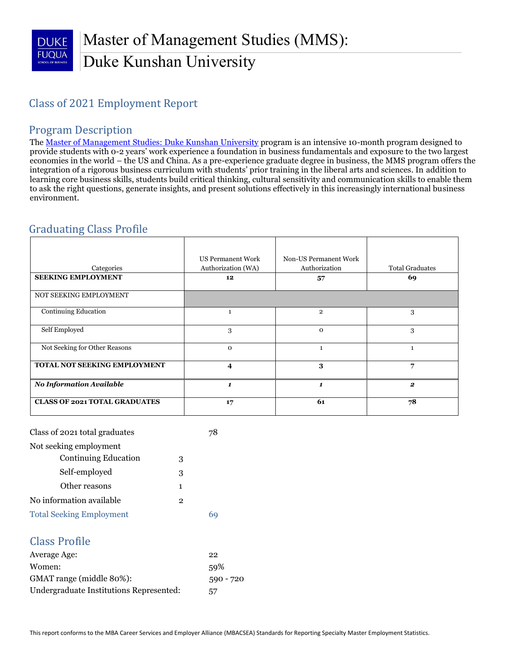## Master of Management Studies (MMS): Duke Kunshan University

## Class of 2021 Employment Report

#### Program Description

The [Master of Management Studies:](https://www.fuqua.duke.edu/programs/mms-duke-kunshan-university) Duke Kunshan University program is an intensive 10-month program designed to provide students with 0-2 years' work experience a foundation in business fundamentals and exposure to the two largest economies in the world – the US and China. As a pre-experience graduate degree in business, the MMS program offers the integration of a rigorous business curriculum with students' prior training in the liberal arts and sciences. In addition to learning core business skills, students build critical thinking, cultural sensitivity and communication skills to enable them to ask the right questions, generate insights, and present solutions effectively in this increasingly international business environment.

## Graduating Class Profile

| Categories                           | <b>US Permanent Work</b><br>Authorization (WA) | Non-US Permanent Work<br>Authorization | <b>Total Graduates</b> |
|--------------------------------------|------------------------------------------------|----------------------------------------|------------------------|
| <b>SEEKING EMPLOYMENT</b>            | 12                                             | 57                                     | 69                     |
| NOT SEEKING EMPLOYMENT               |                                                |                                        |                        |
| <b>Continuing Education</b>          |                                                | $\overline{2}$                         | 3                      |
| Self Employed                        | 3                                              | $\Omega$                               | 3                      |
| Not Seeking for Other Reasons        | $\Omega$                                       | $\mathbf{1}$                           | $\mathbf{1}$           |
| TOTAL NOT SEEKING EMPLOYMENT         | 4                                              | 3                                      | 7                      |
| <b>No Information Available</b>      | 1                                              | 1                                      | $\mathbf{2}$           |
| <b>CLASS OF 2021 TOTAL GRADUATES</b> | 17                                             | 61                                     | 78                     |

| Class of 2021 total graduates   |   |  |  |  |
|---------------------------------|---|--|--|--|
| Not seeking employment          |   |  |  |  |
| <b>Continuing Education</b>     | 3 |  |  |  |
| Self-employed                   | З |  |  |  |
| Other reasons                   | 1 |  |  |  |
| No information available<br>2   |   |  |  |  |
| <b>Total Seeking Employment</b> |   |  |  |  |

#### Class Profile

| Average Age:                            | 22          |
|-----------------------------------------|-------------|
| Women:                                  | 59%         |
| GMAT range (middle 80%):                | $590 - 720$ |
| Undergraduate Institutions Represented: | 57          |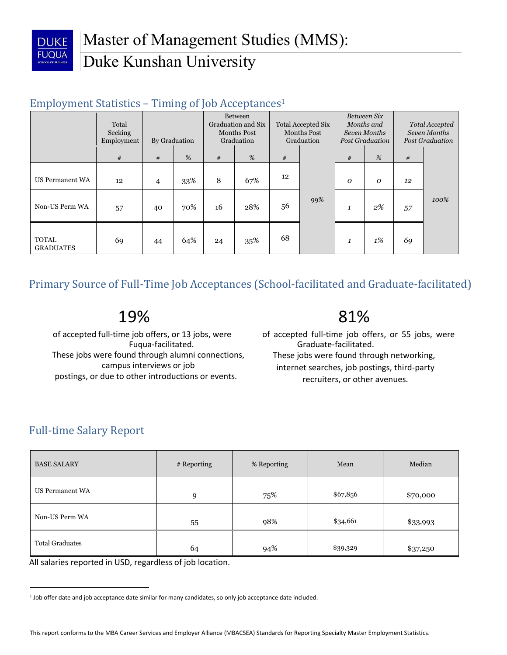

### Employment Statistics – Timing of Job Acceptances<sup>1</sup>

|                                  | Total<br>Seeking<br>Employment | <b>Between</b><br>Graduation and Six<br>Months Post<br>By Graduation<br>Graduation |     |    | <b>Total Accepted Six</b><br><b>Months Post</b><br>Graduation |    | Between Six<br>Months and<br>Seven Months<br><b>Post Graduation</b> |                  | Total Accepted<br>Seven Months<br><b>Post Graduation</b> |    |      |
|----------------------------------|--------------------------------|------------------------------------------------------------------------------------|-----|----|---------------------------------------------------------------|----|---------------------------------------------------------------------|------------------|----------------------------------------------------------|----|------|
|                                  | #                              | #                                                                                  | %   | #  | %                                                             | #  |                                                                     | #                | %                                                        | #  |      |
| <b>US Permanent WA</b>           | 12                             | $\overline{4}$                                                                     | 33% | 8  | 67%                                                           | 12 |                                                                     | $\boldsymbol{O}$ | $\boldsymbol{o}$                                         | 12 |      |
| Non-US Perm WA                   | 57                             | 40                                                                                 | 70% | 16 | 28%                                                           | 56 | 99%                                                                 | 1                | $2\%$                                                    | 57 | 100% |
| <b>TOTAL</b><br><b>GRADUATES</b> | 69                             | 44                                                                                 | 64% | 24 | 35%                                                           | 68 |                                                                     | 1                | $1\%$                                                    | 69 |      |

Primary Source of Full-Time Job Acceptances (School-facilitated and Graduate-facilitated)

- 19%
- of accepted full-time job offers, or 13 jobs, were Fuqua-facilitated. These jobs were found through alumni connections, campus interviews or job postings, or due to other introductions or events.
- 81%
- of accepted full-time job offers, or 55 jobs, were Graduate-facilitated. These jobs were found through networking, internet searches, job postings, third-party recruiters, or other avenues.

## Full-time Salary Report

l

| <b>BASE SALARY</b>     | # Reporting | % Reporting | Mean     | Median   |
|------------------------|-------------|-------------|----------|----------|
| <b>US Permanent WA</b> | 9           | 75%         | \$67,856 | \$70,000 |
| Non-US Perm WA         | 55          | 98%         | \$34,661 | \$33,993 |
| <b>Total Graduates</b> | 64          | 94%         | \$39,329 | \$37,250 |

All salaries reported in USD, regardless of job location.

<sup>1</sup> Job offer date and job acceptance date similar for many candidates, so only job acceptance date included.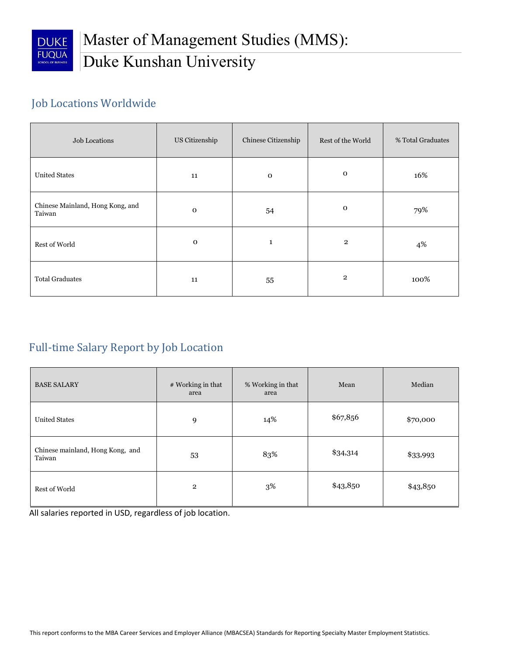

## Job Locations Worldwide

| Job Locations                              | US Citizenship | Chinese Citizenship | Rest of the World | % Total Graduates |  |
|--------------------------------------------|----------------|---------------------|-------------------|-------------------|--|
| <b>United States</b>                       | 11             | $\mathbf 0$         | $\mathbf 0$       | 16%               |  |
| Chinese Mainland, Hong Kong, and<br>Taiwan | $\mathbf 0$    | 54                  | $\mathbf{O}$      | 79%               |  |
| Rest of World                              | $\mathbf 0$    | 1                   | $\overline{2}$    | 4%                |  |
| <b>Total Graduates</b>                     | 11             | 55                  | $\overline{2}$    | 100%              |  |

## Full-time Salary Report by Job Location

| <b>BASE SALARY</b>                         | # Working in that<br>area | % Working in that<br>area | Mean     | Median   |
|--------------------------------------------|---------------------------|---------------------------|----------|----------|
| <b>United States</b>                       | 9                         | 14%                       | \$67,856 | \$70,000 |
| Chinese mainland, Hong Kong, and<br>Taiwan | 53                        | 83%                       | \$34,314 | \$33,993 |
| Rest of World                              | $\overline{2}$            | 3%                        | \$43,850 | \$43,850 |

All salaries reported in USD, regardless of job location.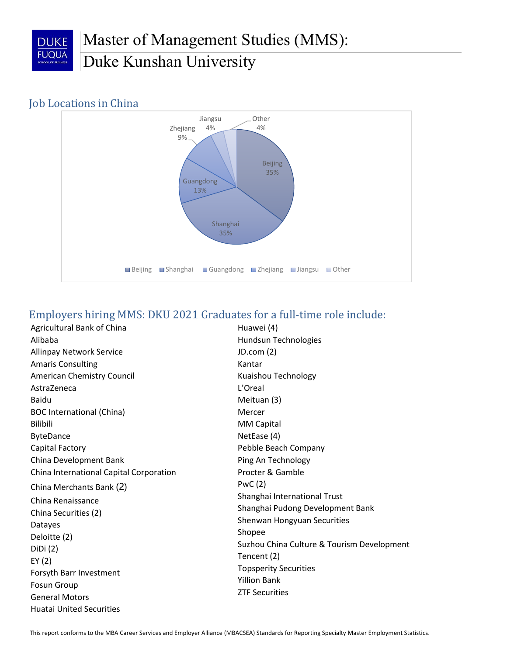

#### Job Locations in China



#### Employers hiring MMS: DKU 2021 Graduates for a full-time role include:

Agricultural Bank of China Alibaba Allinpay Network Service Amaris Consulting American Chemistry Council AstraZeneca Baidu BOC International (China) Bilibili ByteDance Capital Factory China Development Bank China International Capital Corporation China Merchants Bank (2) China Renaissance China Securities (2) Datayes Deloitte (2) DiDi (2) EY (2) Forsyth Barr Investment Fosun Group General Motors Huatai United Securities

Huawei (4) Hundsun Technologies JD.com (2) Kantar Kuaishou Technology L'Oreal Meituan (3) Mercer MM Capital NetEase (4) Pebble Beach Company Ping An Technology Procter & Gamble PwC (2) Shanghai International Trust Shanghai Pudong Development Bank Shenwan Hongyuan Securities Shopee Suzhou China Culture & Tourism Development Tencent (2) Topsperity Securities Yillion Bank ZTF Securities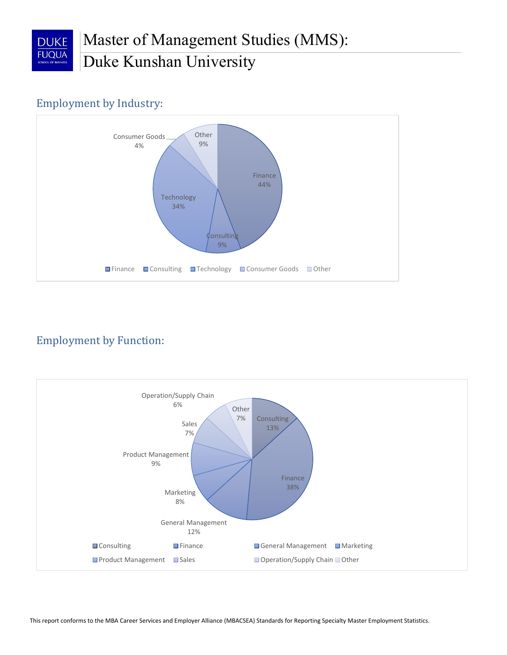

## Employment by Industry:



## Employment by Function:

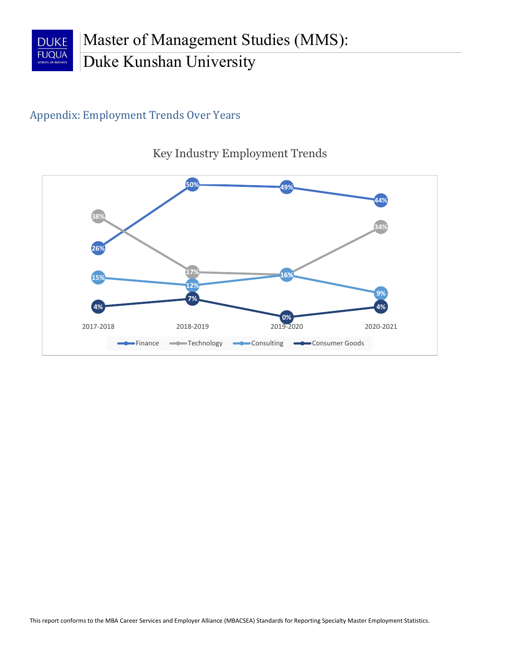

## Appendix: Employment Trends Over Years



Key Industry Employment Trends